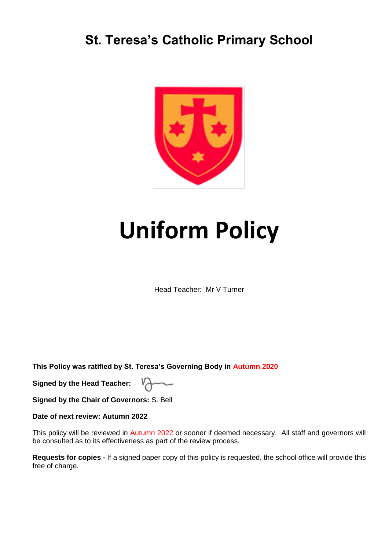# **St. Teresa's Catholic Primary School**



# **Uniform Policy**

Head Teacher: Mr V Turner

**This Policy was ratified by St. Teresa's Governing Body in Autumn 2020**

**Signed by the Head Teacher:** 

**Signed by the Chair of Governors:** S. Bell

**Date of next review: Autumn 2022**

This policy will be reviewed in Autumn 2022 or sooner if deemed necessary. All staff and governors will be consulted as to its effectiveness as part of the review process.

**Requests for copies -** If a signed paper copy of this policy is requested, the school office will provide this free of charge.